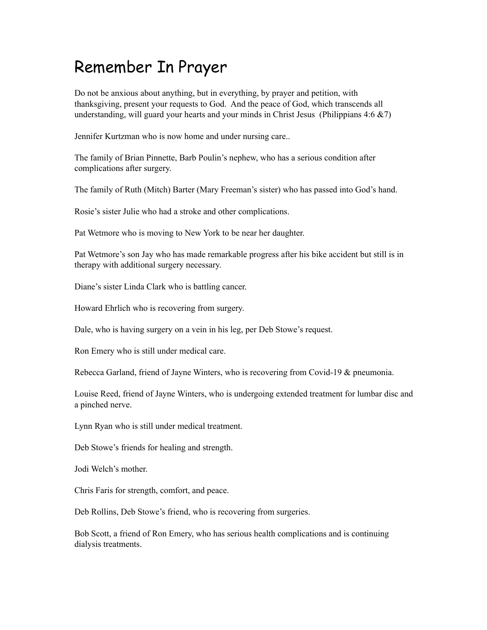## Remember In Prayer

Do not be anxious about anything, but in everything, by prayer and petition, with thanksgiving, present your requests to God. And the peace of God, which transcends all understanding, will guard your hearts and your minds in Christ Jesus (Philippians  $4:6 \& 7$ )

Jennifer Kurtzman who is now home and under nursing care..

The family of Brian Pinnette, Barb Poulin's nephew, who has a serious condition after complications after surgery.

The family of Ruth (Mitch) Barter (Mary Freeman's sister) who has passed into God's hand.

Rosie's sister Julie who had a stroke and other complications.

Pat Wetmore who is moving to New York to be near her daughter.

Pat Wetmore's son Jay who has made remarkable progress after his bike accident but still is in therapy with additional surgery necessary.

Diane's sister Linda Clark who is battling cancer.

Howard Ehrlich who is recovering from surgery.

Dale, who is having surgery on a vein in his leg, per Deb Stowe's request.

Ron Emery who is still under medical care.

Rebecca Garland, friend of Jayne Winters, who is recovering from Covid-19 & pneumonia.

Louise Reed, friend of Jayne Winters, who is undergoing extended treatment for lumbar disc and a pinched nerve.

Lynn Ryan who is still under medical treatment.

Deb Stowe's friends for healing and strength.

Jodi Welch's mother.

Chris Faris for strength, comfort, and peace.

Deb Rollins, Deb Stowe's friend, who is recovering from surgeries.

Bob Scott, a friend of Ron Emery, who has serious health complications and is continuing dialysis treatments.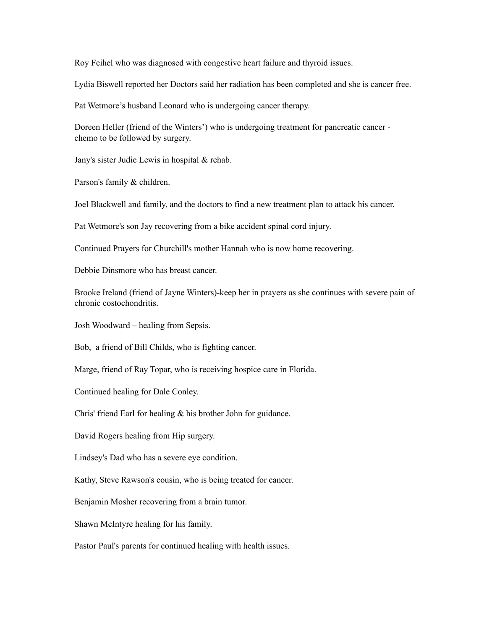Roy Feihel who was diagnosed with congestive heart failure and thyroid issues.

Lydia Biswell reported her Doctors said her radiation has been completed and she is cancer free.

Pat Wetmore's husband Leonard who is undergoing cancer therapy.

Doreen Heller (friend of the Winters') who is undergoing treatment for pancreatic cancer chemo to be followed by surgery.

Jany's sister Judie Lewis in hospital & rehab.

Parson's family & children.

Joel Blackwell and family, and the doctors to find a new treatment plan to attack his cancer.

Pat Wetmore's son Jay recovering from a bike accident spinal cord injury.

Continued Prayers for Churchill's mother Hannah who is now home recovering.

Debbie Dinsmore who has breast cancer.

Brooke Ireland (friend of Jayne Winters)-keep her in prayers as she continues with severe pain of chronic costochondritis.

Josh Woodward – healing from Sepsis.

Bob, a friend of Bill Childs, who is fighting cancer.

Marge, friend of Ray Topar, who is receiving hospice care in Florida.

Continued healing for Dale Conley.

Chris' friend Earl for healing & his brother John for guidance.

David Rogers healing from Hip surgery.

Lindsey's Dad who has a severe eye condition.

Kathy, Steve Rawson's cousin, who is being treated for cancer.

Benjamin Mosher recovering from a brain tumor.

Shawn McIntyre healing for his family.

Pastor Paul's parents for continued healing with health issues.